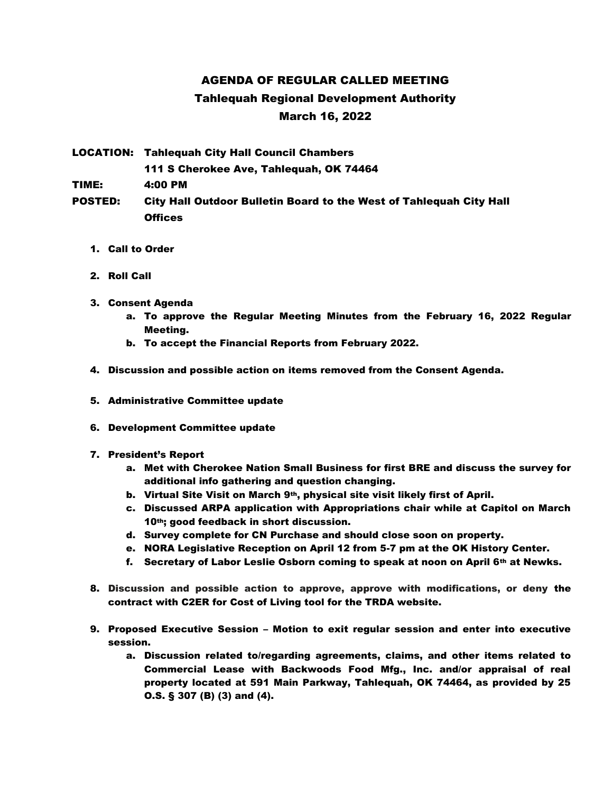## AGENDA OF REGULAR CALLED MEETING Tahlequah Regional Development Authority March 16, 2022

LOCATION: Tahlequah City Hall Council Chambers 111 S Cherokee Ave, Tahlequah, OK 74464 TIME: 4:00 PM POSTED: City Hall Outdoor Bulletin Board to the West of Tahlequah City Hall

1. Call to Order

**Offices** 

- 2. Roll Call
- 3. Consent Agenda
	- a. To approve the Regular Meeting Minutes from the February 16, 2022 Regular Meeting.
	- b. To accept the Financial Reports from February 2022.
- 4. Discussion and possible action on items removed from the Consent Agenda.
- 5. Administrative Committee update
- 6. Development Committee update
- 7. President's Report
	- a. Met with Cherokee Nation Small Business for first BRE and discuss the survey for additional info gathering and question changing.
	- b. Virtual Site Visit on March 9<sup>th</sup>, physical site visit likely first of April.
	- c. Discussed ARPA application with Appropriations chair while at Capitol on March 10th; good feedback in short discussion.
	- d. Survey complete for CN Purchase and should close soon on property.
	- e. NORA Legislative Reception on April 12 from 5-7 pm at the OK History Center.
	- f. Secretary of Labor Leslie Osborn coming to speak at noon on April 6th at Newks.
- 8. Discussion and possible action to approve, approve with modifications, or deny the contract with C2ER for Cost of Living tool for the TRDA website.
- 9. Proposed Executive Session Motion to exit regular session and enter into executive session.
	- a. Discussion related to/regarding agreements, claims, and other items related to Commercial Lease with Backwoods Food Mfg., Inc. and/or appraisal of real property located at 591 Main Parkway, Tahlequah, OK 74464, as provided by 25 O.S. § 307 (B) (3) and (4).